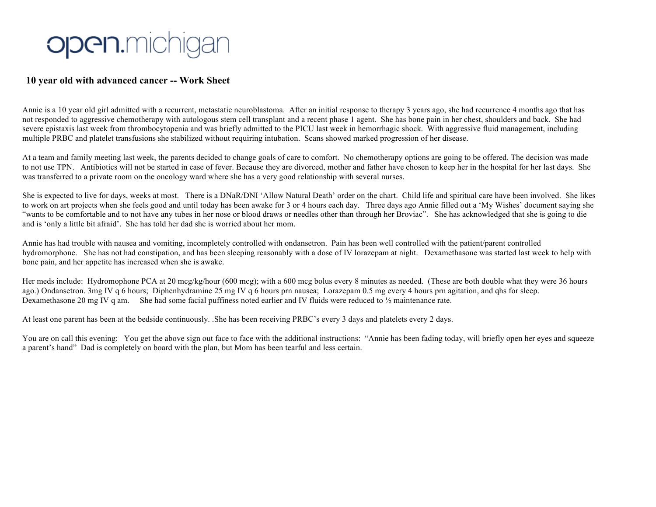## open.michigan

## **10 year old with advanced cancer -- Work Sheet**

Annie is a 10 year old girl admitted with a recurrent, metastatic neuroblastoma. After an initial response to therapy 3 years ago, she had recurrence 4 months ago that has not responded to aggressive chemotherapy with autologous stem cell transplant and a recent phase 1 agent. She has bone pain in her chest, shoulders and back. She had severe epistaxis last week from thrombocytopenia and was briefly admitted to the PICU last week in hemorrhagic shock. With aggressive fluid management, including multiple PRBC and platelet transfusions she stabilized without requiring intubation. Scans showed marked progression of her disease.

At a team and family meeting last week, the parents decided to change goals of care to comfort. No chemotherapy options are going to be offered. The decision was made to not use TPN. Antibiotics will not be started in case of fever. Because they are divorced, mother and father have chosen to keep her in the hospital for her last days. She was transferred to a private room on the oncology ward where she has a very good relationship with several nurses.

She is expected to live for days, weeks at most. There is a DNaR/DNI 'Allow Natural Death' order on the chart. Child life and spiritual care have been involved. She likes to work on art projects when she feels good and until today has been awake for 3 or 4 hours each day. Three days ago Annie filled out a 'My Wishes' document saying she "wants to be comfortable and to not have any tubes in her nose or blood draws or needles other than through her Broviac". She has acknowledged that she is going to die and is 'only a little bit afraid'. She has told her dad she is worried about her mom.

Annie has had trouble with nausea and vomiting, incompletely controlled with ondansetron. Pain has been well controlled with the patient/parent controlled hydromorphone. She has not had constipation, and has been sleeping reasonably with a dose of IV lorazepam at night. Dexamethasone was started last week to help with bone pain, and her appetite has increased when she is awake.

Her meds include: Hydromophone PCA at 20 mcg/kg/hour (600 mcg); with a 600 mcg bolus every 8 minutes as needed. (These are both double what they were 36 hours ago.) Ondansetron. 3mg IV q 6 hours; Diphenhydramine 25 mg IV q 6 hours prn nausea; Lorazepam 0.5 mg every 4 hours prn agitation, and qhs for sleep. Dexamethasone 20 mg IV q am. She had some facial puffiness noted earlier and IV fluids were reduced to  $\frac{1}{2}$  maintenance rate.

At least one parent has been at the bedside continuously. .She has been receiving PRBC's every 3 days and platelets every 2 days.

You are on call this evening: You get the above sign out face to face with the additional instructions: "Annie has been fading today, will briefly open her eyes and squeeze a parent's hand" Dad is completely on board with the plan, but Mom has been tearful and less certain.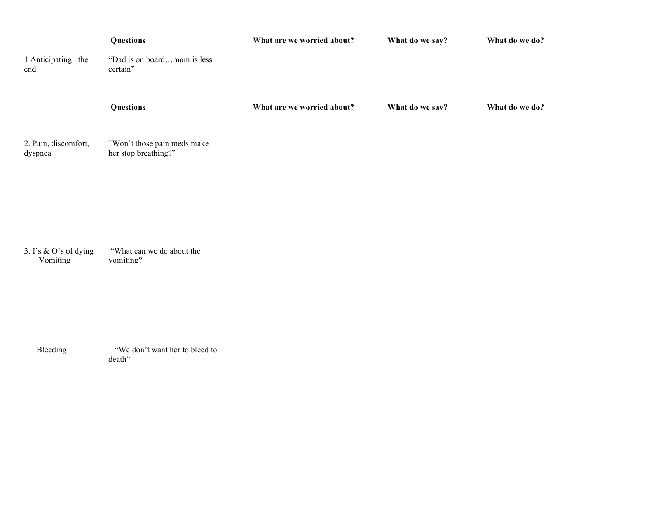| 1 Anticipating the<br>end           | <b>Questions</b><br>"Dad is on boardmom is less<br>certain" | What are we worried about? | What do we say? | What do we do? |
|-------------------------------------|-------------------------------------------------------------|----------------------------|-----------------|----------------|
|                                     | <b>Questions</b>                                            | What are we worried about? | What do we say? | What do we do? |
| 2. Pain, discomfort,<br>dyspnea     | "Won't those pain meds make<br>her stop breathing?"         |                            |                 |                |
|                                     |                                                             |                            |                 |                |
| 3. I's $&$ O's of dying<br>Vomiting | "What can we do about the<br>vomiting?                      |                            |                 |                |
|                                     |                                                             |                            |                 |                |

Bleeding "We don't want her to bleed to death"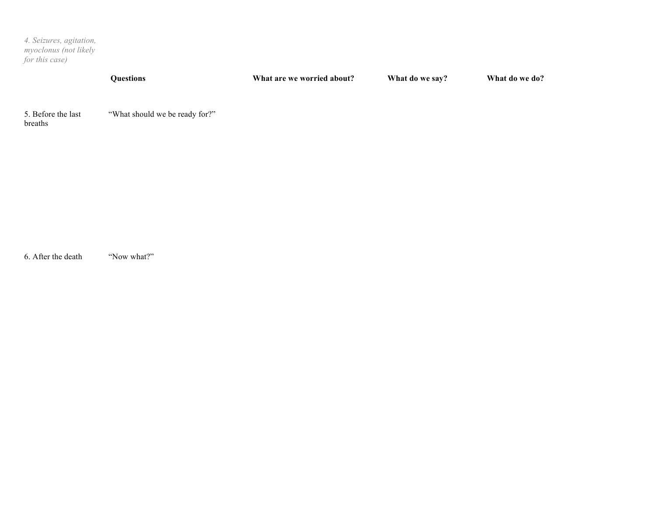*4. Seizures, agitation, myoclonus (not likely for this case)*

| <b>Ouestions</b> | What are we worried about? | What do we say? | What do we do? |
|------------------|----------------------------|-----------------|----------------|
|                  |                            |                 |                |

5. Before the last breaths "What should we be ready for?"

6. After the death "Now what?"